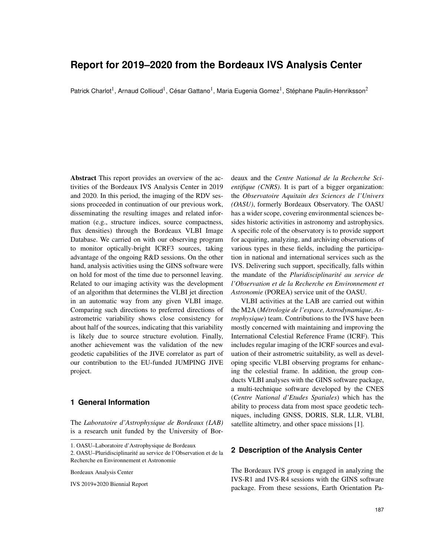# **Report for 2019–2020 from the Bordeaux IVS Analysis Center**

Patrick Charlot<sup>1</sup>, Arnaud Collioud<sup>1</sup>, César Gattano<sup>1</sup>, Maria Eugenia Gomez<sup>1</sup>, Stéphane Paulin-Henriksson<sup>2</sup>

Abstract This report provides an overview of the activities of the Bordeaux IVS Analysis Center in 2019 and 2020. In this period, the imaging of the RDV sessions proceeded in continuation of our previous work, disseminating the resulting images and related information (e.g., structure indices, source compactness, flux densities) through the Bordeaux VLBI Image Database. We carried on with our observing program to monitor optically-bright ICRF3 sources, taking advantage of the ongoing R&D sessions. On the other hand, analysis activities using the GINS software were on hold for most of the time due to personnel leaving. Related to our imaging activity was the development of an algorithm that determines the VLBI jet direction in an automatic way from any given VLBI image. Comparing such directions to preferred directions of astrometric variability shows close consistency for about half of the sources, indicating that this variability is likely due to source structure evolution. Finally, another achievement was the validation of the new geodetic capabilities of the JIVE correlator as part of our contribution to the EU-funded JUMPING JIVE project.

## **1 General Information**

The *Laboratoire d'Astrophysique de Bordeaux (LAB)* is a research unit funded by the University of Bor-

Bordeaux Analysis Center

IVS 2019+2020 Biennial Report

deaux and the *Centre National de la Recherche Scientifique (CNRS)*. It is part of a bigger organization: the *Observatoire Aquitain des Sciences de l'Univers (OASU)*, formerly Bordeaux Observatory. The OASU has a wider scope, covering environmental sciences besides historic activities in astronomy and astrophysics. A specific role of the observatory is to provide support for acquiring, analyzing, and archiving observations of various types in these fields, including the participation in national and international services such as the IVS. Delivering such support, specifically, falls within the mandate of the *Pluridisciplinarite au service de ´ l'Observation et de la Recherche en Environnement et Astronomie* (POREA) service unit of the OASU.

VLBI activities at the LAB are carried out within the M2A (*Metrologie de l'espace, Astrodynamique, As- ´ trophysique*) team. Contributions to the IVS have been mostly concerned with maintaining and improving the International Celestial Reference Frame (ICRF). This includes regular imaging of the ICRF sources and evaluation of their astrometric suitability, as well as developing specific VLBI observing programs for enhancing the celestial frame. In addition, the group conducts VLBI analyses with the GINS software package, a multi-technique software developed by the CNES (*Centre National d'Etudes Spatiales*) which has the ability to process data from most space geodetic techniques, including GNSS, DORIS, SLR, LLR, VLBI, satellite altimetry, and other space missions [1].

#### **2 Description of the Analysis Center**

The Bordeaux IVS group is engaged in analyzing the IVS-R1 and IVS-R4 sessions with the GINS software package. From these sessions, Earth Orientation Pa-

<sup>1.</sup> OASU–Laboratoire d'Astrophysique de Bordeaux

<sup>2.</sup> OASU–Pluridisciplinarite au service de l'Observation et de la ´ Recherche en Environnement et Astronomie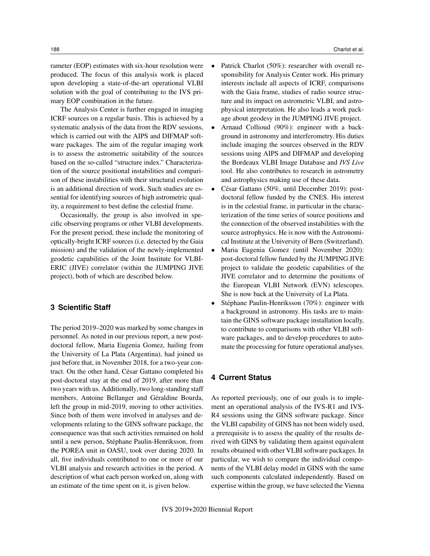rameter (EOP) estimates with six-hour resolution were produced. The focus of this analysis work is placed upon developing a state-of-the-art operational VLBI solution with the goal of contributing to the IVS primary EOP combination in the future.

The Analysis Center is further engaged in imaging ICRF sources on a regular basis. This is achieved by a systematic analysis of the data from the RDV sessions, which is carried out with the AIPS and DIFMAP software packages. The aim of the regular imaging work is to assess the astrometric suitability of the sources based on the so-called "structure index." Characterization of the source positional instabilities and comparison of these instabilities with their structural evolution is an additional direction of work. Such studies are essential for identifying sources of high astrometric quality, a requirement to best define the celestial frame.

Occasionally, the group is also involved in specific observing programs or other VLBI developments. For the present period, these include the monitoring of optically-bright ICRF sources (i.e. detected by the Gaia mission) and the validation of the newly-implemented geodetic capabilities of the Joint Institute for VLBI-ERIC (JIVE) correlator (within the JUMPING JIVE project), both of which are described below.

## **3 Scientific Staff**

The period 2019–2020 was marked by some changes in personnel. As noted in our previous report, a new postdoctoral fellow, Maria Eugenia Gomez, hailing from the University of La Plata (Argentina), had joined us just before that, in November 2018, for a two-year contract. On the other hand, César Gattano completed his post-doctoral stay at the end of 2019, after more than two years with us. Additionally, two long-standing staff members, Antoine Bellanger and Géraldine Bourda, left the group in mid-2019, moving to other activities. Since both of them were involved in analyses and developments relating to the GINS software package, the consequence was that such activities remained on hold until a new person, Stéphane Paulin-Henriksson, from the POREA unit in OASU, took over during 2020. In all, five individuals contributed to one or more of our VLBI analysis and research activities in the period. A description of what each person worked on, along with an estimate of the time spent on it, is given below.

- Patrick Charlot (50%): researcher with overall responsibility for Analysis Center work. His primary interests include all aspects of ICRF, comparisons with the Gaia frame, studies of radio source structure and its impact on astrometric VLBI, and astrophysical interpretation. He also leads a work package about geodesy in the JUMPING JIVE project.
- Arnaud Collioud (90%): engineer with a background in astronomy and interferometry. His duties include imaging the sources observed in the RDV sessions using AIPS and DIFMAP and developing the Bordeaux VLBI Image Database and *IVS Live* tool. He also contributes to research in astrometry and astrophysics making use of these data.
- César Gattano (50%, until December 2019): postdoctoral fellow funded by the CNES. His interest is in the celestial frame, in particular in the characterization of the time series of source positions and the connection of the observed instabilities with the source astrophysics. He is now with the Astronomical Institute at the University of Bern (Switzerland).
- Maria Eugenia Gomez (until November 2020): post-doctoral fellow funded by the JUMPING JIVE project to validate the geodetic capabilities of the JIVE correlator and to determine the positions of the European VLBI Network (EVN) telescopes. She is now back at the University of La Plata.
- Stéphane Paulin-Henriksson (70%): engineer with a background in astronomy. His tasks are to maintain the GINS software package installation locally, to contribute to comparisons with other VLBI software packages, and to develop procedures to automate the processing for future operational analyses.

## **4 Current Status**

As reported previously, one of our goals is to implement an operational analysis of the IVS-R1 and IVS-R4 sessions using the GINS software package. Since the VLBI capability of GINS has not been widely used, a prerequisite is to assess the quality of the results derived with GINS by validating them against equivalent results obtained with other VLBI software packages. In particular, we wish to compare the individual components of the VLBI delay model in GINS with the same such components calculated independently. Based on expertise within the group, we have selected the Vienna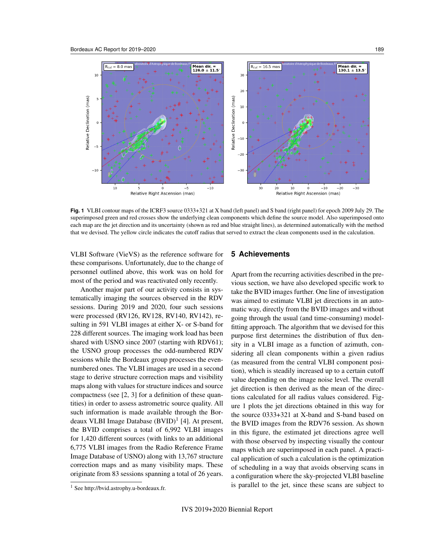

**Fig. 1** VLBI contour maps of the ICRF3 source 0333+321 at X band (left panel) and S band (right panel) for epoch 2009 July 29. The superimposed green and red crosses show the underlying clean components which define the source model. Also superimposed onto each map are the jet direction and its uncertainty (shown as red and blue straight lines), as determined automatically with the method that we devised. The yellow circle indicates the cutoff radius that served to extract the clean components used in the calculation.

VLBI Software (VieVS) as the reference software for these comparisons. Unfortunately, due to the change of personnel outlined above, this work was on hold for most of the period and was reactivated only recently.

Another major part of our activity consists in systematically imaging the sources observed in the RDV sessions. During 2019 and 2020, four such sessions were processed (RV126, RV128, RV140, RV142), resulting in 591 VLBI images at either X- or S-band for 228 different sources. The imaging work load has been shared with USNO since 2007 (starting with RDV61); the USNO group processes the odd-numbered RDV sessions while the Bordeaux group processes the evennumbered ones. The VLBI images are used in a second stage to derive structure correction maps and visibility maps along with values for structure indices and source compactness (see [2, 3] for a definition of these quantities) in order to assess astrometric source quality. All such information is made available through the Bordeaux VLBI Image Database (BVID)<sup>1</sup> [4]. At present, the BVID comprises a total of 6,992 VLBI images for 1,420 different sources (with links to an additional 6,775 VLBI images from the Radio Reference Frame Image Database of USNO) along with 13,767 structure correction maps and as many visibility maps. These originate from 83 sessions spanning a total of 26 years.

## **5 Achievements**

Apart from the recurring activities described in the previous section, we have also developed specific work to take the BVID images further. One line of investigation was aimed to estimate VLBI jet directions in an automatic way, directly from the BVID images and without going through the usual (and time-consuming) modelfitting approach. The algorithm that we devised for this purpose first determines the distribution of flux density in a VLBI image as a function of azimuth, considering all clean components within a given radius (as measured from the central VLBI component position), which is steadily increased up to a certain cutoff value depending on the image noise level. The overall jet direction is then derived as the mean of the directions calculated for all radius values considered. Figure 1 plots the jet directions obtained in this way for the source 0333+321 at X-band and S-band based on the BVID images from the RDV76 session. As shown in this figure, the estimated jet directions agree well with those observed by inspecting visually the contour maps which are superimposed in each panel. A practical application of such a calculation is the optimization of scheduling in a way that avoids observing scans in a configuration where the sky-projected VLBI baseline is parallel to the jet, since these scans are subject to

<sup>1</sup> See http://bvid.astrophy.u-bordeaux.fr.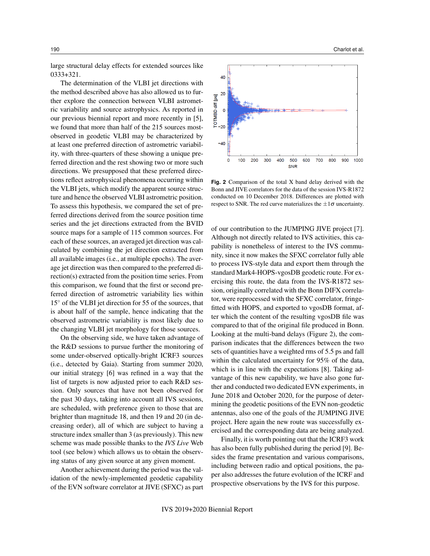large structural delay effects for extended sources like 0333+321.

The determination of the VLBI jet directions with the method described above has also allowed us to further explore the connection between VLBI astrometric variability and source astrophysics. As reported in our previous biennial report and more recently in [5], we found that more than half of the 215 sources mostobserved in geodetic VLBI may be characterized by at least one preferred direction of astrometric variability, with three-quarters of these showing a unique preferred direction and the rest showing two or more such directions. We presupposed that these preferred directions reflect astrophysical phenomena occurring within the VLBI jets, which modify the apparent source structure and hence the observed VLBI astrometric position. To assess this hypothesis, we compared the set of preferred directions derived from the source position time series and the jet directions extracted from the BVID source maps for a sample of 115 common sources. For each of these sources, an averaged jet direction was calculated by combining the jet direction extracted from all available images (i.e., at multiple epochs). The average jet direction was then compared to the preferred direction(s) extracted from the position time series. From this comparison, we found that the first or second preferred direction of astrometric variability lies within 15◦ of the VLBI jet direction for 55 of the sources, that is about half of the sample, hence indicating that the observed astrometric variability is most likely due to the changing VLBI jet morphology for those sources.

On the observing side, we have taken advantage of the R&D sessions to pursue further the monitoring of some under-observed optically-bright ICRF3 sources (i.e., detected by Gaia). Starting from summer 2020, our initial strategy [6] was refined in a way that the list of targets is now adjusted prior to each R&D session. Only sources that have not been observed for the past 30 days, taking into account all IVS sessions, are scheduled, with preference given to those that are brighter than magnitude 18, and then 19 and 20 (in decreasing order), all of which are subject to having a structure index smaller than 3 (as previously). This new scheme was made possible thanks to the *IVS Live* Web tool (see below) which allows us to obtain the observing status of any given source at any given moment.

Another achievement during the period was the validation of the newly-implemented geodetic capability of the EVN software correlator at JIVE (SFXC) as part



**Fig. 2** Comparison of the total X band delay derived with the Bonn and JIVE correlators for the data of the session IVS-R1872 conducted on 10 December 2018. Differences are plotted with respect to SNR. The red curve materializes the  $\pm 1\sigma$  uncertainty.

**SNR** 

of our contribution to the JUMPING JIVE project [7]. Although not directly related to IVS activities, this capability is nonetheless of interest to the IVS community, since it now makes the SFXC correlator fully able to process IVS-style data and export them through the standard Mark4-HOPS-vgosDB geodetic route. For exercising this route, the data from the IVS-R1872 session, originally correlated with the Bonn DIFX correlator, were reprocessed with the SFXC correlator, fringefitted with HOPS, and exported to vgosDB format, after which the content of the resulting vgosDB file was compared to that of the original file produced in Bonn. Looking at the multi-band delays (Figure 2), the comparison indicates that the differences between the two sets of quantities have a weighted rms of 5.5 ps and fall within the calculated uncertainty for 95% of the data, which is in line with the expectations [8]. Taking advantage of this new capability, we have also gone further and conducted two dedicated EVN experiments, in June 2018 and October 2020, for the purpose of determining the geodetic positions of the EVN non-geodetic antennas, also one of the goals of the JUMPING JIVE project. Here again the new route was successfully exercised and the corresponding data are being analyzed.

Finally, it is worth pointing out that the ICRF3 work has also been fully published during the period [9]. Besides the frame presentation and various comparisons, including between radio and optical positions, the paper also addresses the future evolution of the ICRF and prospective observations by the IVS for this purpose.